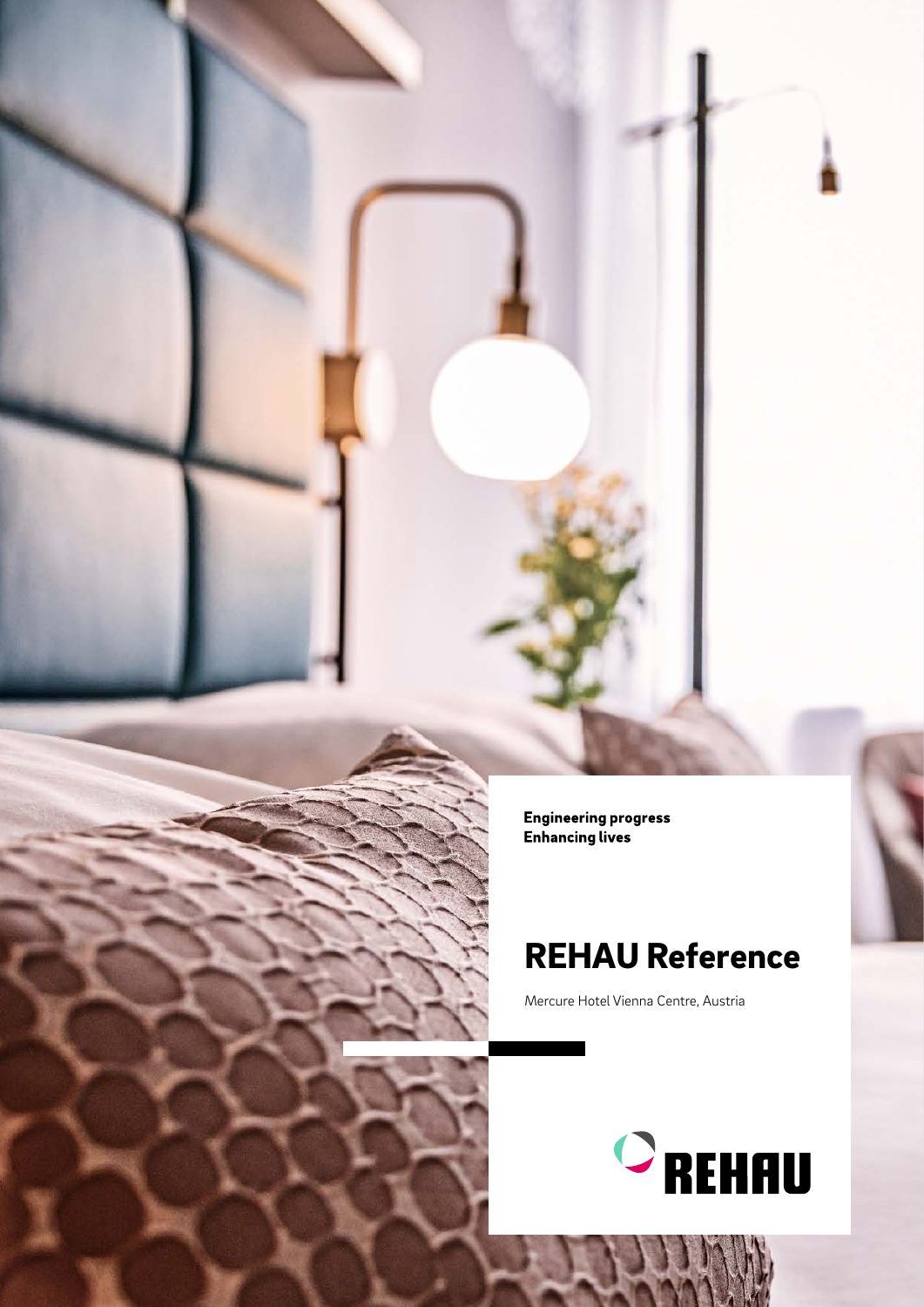**Engineering progress Enhancing lives** 

## REHAU Reference

Mercure Hotel Vienna Centre, Austria